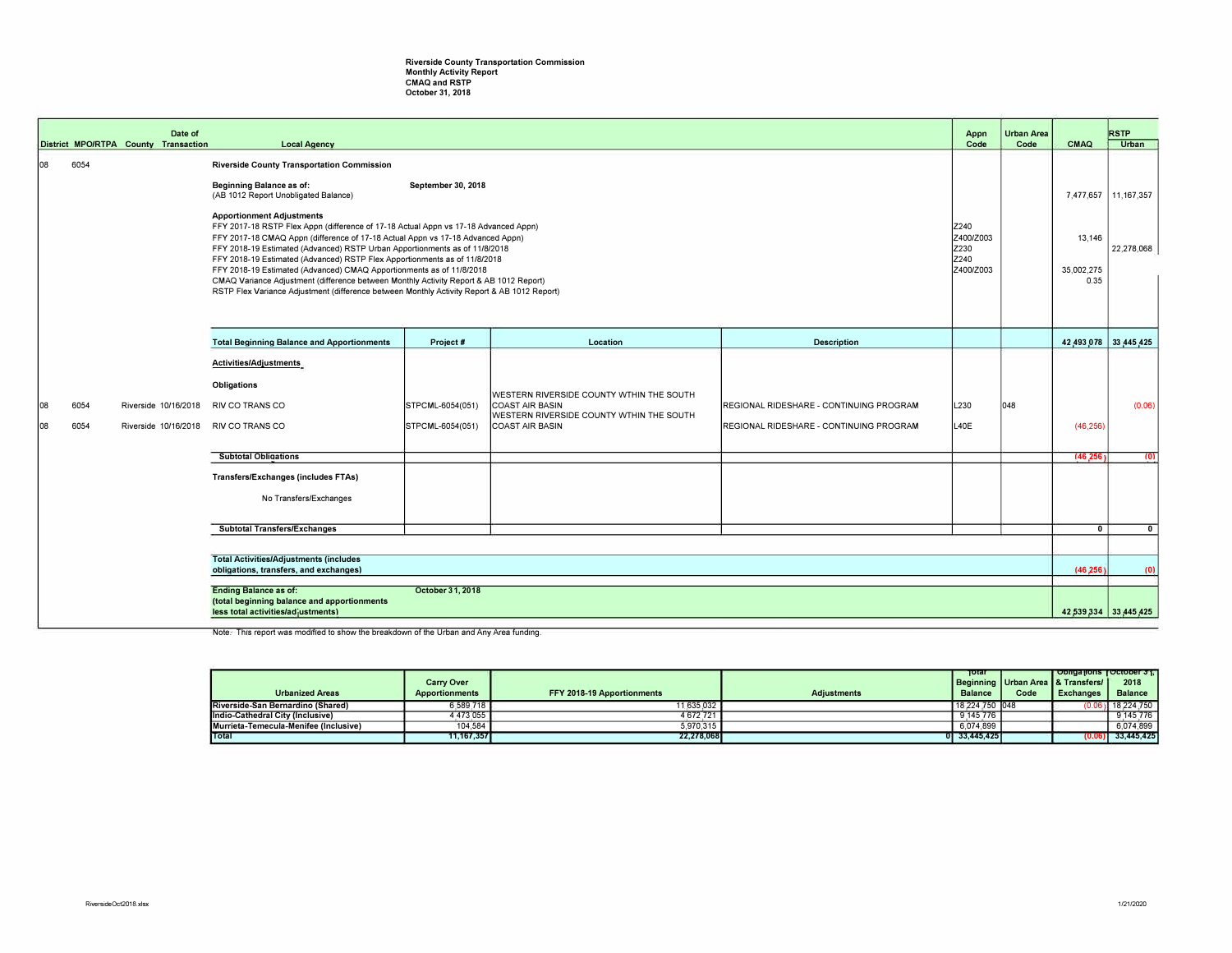## Riverside County Transportation Commission<br>Monthly Activity Report<br>CMAQ and RSTP<br>October 31, 2018

|            |                                                                                                                                       | Date of<br>District MPO/RTPA County Transaction | <b>Local Agency</b>                                                                                                                                                                                                                                                                                                                                                                                                                                                                                                                                                                                                                                                                                                                                                                                                                    |                                      |                                                                                                                                   |                                                                                    | Appn<br>Code | Urban Area<br>Code | CMAQ      | <b>RSTP</b><br>Urban                                  |
|------------|---------------------------------------------------------------------------------------------------------------------------------------|-------------------------------------------------|----------------------------------------------------------------------------------------------------------------------------------------------------------------------------------------------------------------------------------------------------------------------------------------------------------------------------------------------------------------------------------------------------------------------------------------------------------------------------------------------------------------------------------------------------------------------------------------------------------------------------------------------------------------------------------------------------------------------------------------------------------------------------------------------------------------------------------------|--------------------------------------|-----------------------------------------------------------------------------------------------------------------------------------|------------------------------------------------------------------------------------|--------------|--------------------|-----------|-------------------------------------------------------|
| 108        | 6054                                                                                                                                  |                                                 | <b>Riverside County Transportation Commission</b><br>Beginning Balance as of:<br>September 30, 2018<br>(AB 1012 Report Unobligated Balance)<br><b>Apportionment Adjustments</b><br>FFY 2017-18 RSTP Flex Appn (difference of 17-18 Actual Appn vs 17-18 Advanced Appn)<br>Z240<br>Z400/Z003<br>FFY 2017-18 CMAQ Appn (difference of 17-18 Actual Appn vs 17-18 Advanced Appn)<br>Z230<br>FFY 2018-19 Estimated (Advanced) RSTP Urban Apportionments as of 11/8/2018<br>Z240<br>FFY 2018-19 Estimated (Advanced) RSTP Flex Apportionments as of 11/8/2018<br>Z400/Z003<br>FFY 2018-19 Estimated (Advanced) CMAQ Apportionments as of 11/8/2018<br>CMAQ Variance Adjustment (difference between Monthly Activity Report & AB 1012 Report)<br>RSTP Flex Variance Adjustment (difference between Monthly Activity Report & AB 1012 Report) |                                      |                                                                                                                                   |                                                                                    |              |                    |           | 7,477,657<br>11, 167, 357<br>22,278,068<br>35,002,275 |
|            |                                                                                                                                       |                                                 | <b>Total Beginning Balance and Apportionments</b>                                                                                                                                                                                                                                                                                                                                                                                                                                                                                                                                                                                                                                                                                                                                                                                      | Project #                            | Location                                                                                                                          | <b>Description</b>                                                                 |              |                    |           | 42,493,078 33,445,425                                 |
| 108<br>108 | 6054<br>6054                                                                                                                          | Riverside 10/16/2018<br>Riverside 10/16/2018    | <b>Activities/Adjustments</b><br>Obligations<br><b>RIV CO TRANS CO</b><br>RIV CO TRANS CO                                                                                                                                                                                                                                                                                                                                                                                                                                                                                                                                                                                                                                                                                                                                              | STPCML-6054(051)<br>STPCML-6054(051) | WESTERN RIVERSIDE COUNTY WTHIN THE SOUTH<br><b>COAST AIR BASIN</b><br>WESTERN RIVERSIDE COUNTY WTHIN THE SOUTH<br>COAST AIR BASIN | REGIONAL RIDESHARE - CONTINUING PROGRAM<br>REGIONAL RIDESHARE - CONTINUING PROGRAM | L230<br>L40E | 048                | (46, 256) | (0.06)                                                |
|            |                                                                                                                                       |                                                 | <b>Subtotal Obligations</b>                                                                                                                                                                                                                                                                                                                                                                                                                                                                                                                                                                                                                                                                                                                                                                                                            |                                      |                                                                                                                                   |                                                                                    |              |                    | (46, 256) | (0)                                                   |
|            |                                                                                                                                       |                                                 | Transfers/Exchanges (includes FTAs)<br>No Transfers/Exchanges<br><b>Subtotal Transfers/Exchanges</b>                                                                                                                                                                                                                                                                                                                                                                                                                                                                                                                                                                                                                                                                                                                                   |                                      |                                                                                                                                   |                                                                                    |              |                    | $\Omega$  | $\mathbf{0}$                                          |
|            |                                                                                                                                       |                                                 |                                                                                                                                                                                                                                                                                                                                                                                                                                                                                                                                                                                                                                                                                                                                                                                                                                        |                                      |                                                                                                                                   |                                                                                    |              |                    |           |                                                       |
|            |                                                                                                                                       |                                                 | <b>Total Activities/Adjustments (includes)</b><br>obligations, transfers, and exchanges)                                                                                                                                                                                                                                                                                                                                                                                                                                                                                                                                                                                                                                                                                                                                               |                                      |                                                                                                                                   |                                                                                    |              |                    | (46.256)  | (0)                                                   |
|            | October 31, 2018<br><b>Ending Balance as of:</b><br>(total beginning balance and apportionments<br>less total activities/adjustments) |                                                 |                                                                                                                                                                                                                                                                                                                                                                                                                                                                                                                                                                                                                                                                                                                                                                                                                                        |                                      |                                                                                                                                   |                                                                                    |              |                    |           | 42,539,334 33,445,425                                 |

Note. This report was modified to show the breakdown of the Urban and Any Area funding.

|                                       |                       |                            |                    | Total          |      | Obligations   October 31,             |                     |
|---------------------------------------|-----------------------|----------------------------|--------------------|----------------|------|---------------------------------------|---------------------|
|                                       | <b>Carry Over</b>     |                            |                    |                |      | Beginning   Urban Area   & Transfers/ | 2018                |
| <b>Urbanized Areas</b>                | <b>Apportionments</b> | FFY 2018-19 Apportionments | <b>Adiustments</b> | <b>Balance</b> | Code | <b>Exchanges</b>                      | Balance             |
| Riverside-San Bernardino (Shared)     | 6.589.718             | 11,635,032                 |                    | 18.224.750 048 |      |                                       | $(0.06)$ 18.224.750 |
| Indio-Cathedral City (Inclusive)      | 4.473.055             | 4,672,721                  |                    | 9,145,776      |      |                                       | 9.145.776           |
| Murrieta-Temecula-Menifee (Inclusive) | 104.584               | 5.970.315                  |                    | 6.074.899      |      |                                       | 6.074.899           |
| Total                                 | 11.167.357            | 22.278.068                 |                    | 0 33.445.425   |      |                                       | $(0.06)$ 33.445.425 |